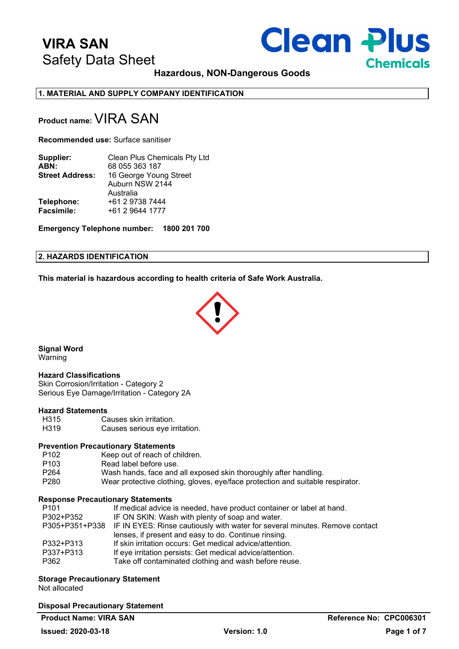# **Clean Plus Chemicals**

**Hazardous, NON-Dangerous Goods**

**1. MATERIAL AND SUPPLY COMPANY IDENTIFICATION**

# **Product name: VIRA SAN**

**Recommended use:** Surface sanitiser

| Supplier:              | Clean Plus Chemicals Pty Ltd |
|------------------------|------------------------------|
| ABN:                   | 68 055 363 187               |
| <b>Street Address:</b> | 16 George Young Street       |
|                        | Auburn NSW 2144              |
|                        | Australia                    |
| Telephone:             | +61 2 9738 7444              |
| <b>Facsimile:</b>      | +61 2 9644 1777              |
|                        |                              |

**Emergency Telephone number: 1800 201 700**

#### **2. HAZARDS IDENTIFICATION**

**This material is hazardous according to health criteria of Safe Work Australia.**



**Signal Word** Warning

#### **Hazard Classifications**

Skin Corrosion/Irritation - Category 2 Serious Eye Damage/Irritation - Category 2A

### **Hazard Statements**

| H <sub>315</sub>  | Causes skin irritation.        |
|-------------------|--------------------------------|
| H <sub>3</sub> 19 | Causes serious eye irritation. |

#### **Prevention Precautionary Statements**

| P <sub>102</sub> | Keep out of reach of children.                                                 |
|------------------|--------------------------------------------------------------------------------|
| P103             | Read label before use.                                                         |
| P264             | Wash hands, face and all exposed skin thoroughly after handling.               |
| P280             | Wear protective clothing, gloves, eye/face protection and suitable respirator. |

#### **Response Precautionary Statements**

| P305+P351+P338 IF IN EYES: Rinse cautiously with water for several minutes. Remove contact |
|--------------------------------------------------------------------------------------------|
|                                                                                            |
|                                                                                            |
|                                                                                            |
|                                                                                            |
|                                                                                            |

# **Storage Precautionary Statement**

Not allocated

### **Disposal Precautionary Statement**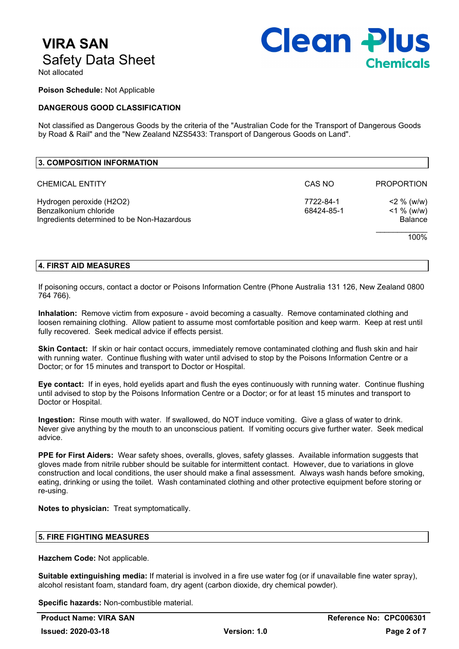

Not allocated

**Poison Schedule:** Not Applicable

## **DANGEROUS GOOD CLASSIFICATION**

Not classified as Dangerous Goods by the criteria of the "Australian Code for the Transport of Dangerous Goods by Road & Rail" and the "New Zealand NZS5433: Transport of Dangerous Goods on Land".

| 3. COMPOSITION INFORMATION                                                                      |                         |                                         |
|-------------------------------------------------------------------------------------------------|-------------------------|-----------------------------------------|
| <b>CHEMICAL ENTITY</b>                                                                          | CAS NO                  | <b>PROPORTION</b>                       |
| Hydrogen peroxide (H2O2)<br>Benzalkonium chloride<br>Ingredients determined to be Non-Hazardous | 7722-84-1<br>68424-85-1 | $2\%$ (w/w)<br>$<$ 1 % (w/w)<br>Balance |
|                                                                                                 |                         | 100%                                    |

#### **4. FIRST AID MEASURES**

If poisoning occurs, contact a doctor or Poisons Information Centre (Phone Australia 131 126, New Zealand 0800 764 766).

**Inhalation:** Remove victim from exposure - avoid becoming a casualty. Remove contaminated clothing and loosen remaining clothing. Allow patient to assume most comfortable position and keep warm. Keep at rest until fully recovered. Seek medical advice if effects persist.

**Skin Contact:** If skin or hair contact occurs, immediately remove contaminated clothing and flush skin and hair with running water. Continue flushing with water until advised to stop by the Poisons Information Centre or a Doctor; or for 15 minutes and transport to Doctor or Hospital.

**Eye contact:** If in eyes, hold eyelids apart and flush the eyes continuously with running water. Continue flushing until advised to stop by the Poisons Information Centre or a Doctor; or for at least 15 minutes and transport to Doctor or Hospital.

**Ingestion:** Rinse mouth with water. If swallowed, do NOT induce vomiting. Give a glass of water to drink. Never give anything by the mouth to an unconscious patient. If vomiting occurs give further water. Seek medical advice.

**PPE for First Aiders:** Wear safety shoes, overalls, gloves, safety glasses. Available information suggests that gloves made from nitrile rubber should be suitable for intermittent contact. However, due to variations in glove construction and local conditions, the user should make a final assessment. Always wash hands before smoking, eating, drinking or using the toilet. Wash contaminated clothing and other protective equipment before storing or re-using.

**Notes to physician:** Treat symptomatically.

### **5. FIRE FIGHTING MEASURES**

**Hazchem Code:** Not applicable.

**Suitable extinguishing media:** If material is involved in a fire use water fog (or if unavailable fine water spray), alcohol resistant foam, standard foam, dry agent (carbon dioxide, dry chemical powder).

**Specific hazards:** Non-combustible material.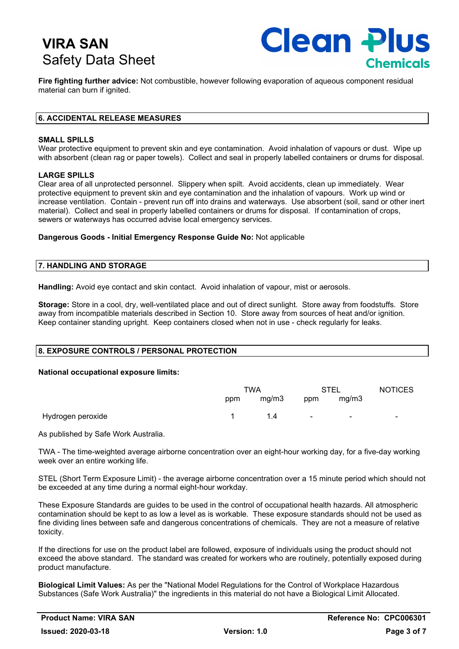

**Fire fighting further advice:** Not combustible, however following evaporation of aqueous component residual material can burn if ignited.

### **6. ACCIDENTAL RELEASE MEASURES**

#### **SMALL SPILLS**

Wear protective equipment to prevent skin and eye contamination. Avoid inhalation of vapours or dust. Wipe up with absorbent (clean rag or paper towels). Collect and seal in properly labelled containers or drums for disposal.

#### **LARGE SPILLS**

Clear area of all unprotected personnel. Slippery when spilt. Avoid accidents, clean up immediately. Wear protective equipment to prevent skin and eye contamination and the inhalation of vapours. Work up wind or increase ventilation. Contain - prevent run off into drains and waterways. Use absorbent (soil, sand or other inert material). Collect and seal in properly labelled containers or drums for disposal. If contamination of crops, sewers or waterways has occurred advise local emergency services.

#### **Dangerous Goods - Initial Emergency Response Guide No:** Not applicable

#### **7. HANDLING AND STORAGE**

**Handling:** Avoid eye contact and skin contact. Avoid inhalation of vapour, mist or aerosols.

**Storage:** Store in a cool, dry, well-ventilated place and out of direct sunlight. Store away from foodstuffs. Store away from incompatible materials described in Section 10. Store away from sources of heat and/or ignition. Keep container standing upright. Keep containers closed when not in use - check regularly for leaks.

# **8. EXPOSURE CONTROLS / PERSONAL PROTECTION**

#### **National occupational exposure limits:**

|                   | TWA<br>STEL |       |        | <b>NOTICES</b> |                |
|-------------------|-------------|-------|--------|----------------|----------------|
|                   | ppm         | mg/m3 | ppm    | mg/m3          |                |
| Hydrogen peroxide |             | 1.4   | $\sim$ | $\blacksquare$ | $\blacksquare$ |

As published by Safe Work Australia.

TWA - The time-weighted average airborne concentration over an eight-hour working day, for a five-day working week over an entire working life.

STEL (Short Term Exposure Limit) - the average airborne concentration over a 15 minute period which should not be exceeded at any time during a normal eight-hour workday.

These Exposure Standards are guides to be used in the control of occupational health hazards. All atmospheric contamination should be kept to as low a level as is workable. These exposure standards should not be used as fine dividing lines between safe and dangerous concentrations of chemicals. They are not a measure of relative toxicity.

If the directions for use on the product label are followed, exposure of individuals using the product should not exceed the above standard. The standard was created for workers who are routinely, potentially exposed during product manufacture.

**Biological Limit Values:** As per the "National Model Regulations for the Control of Workplace Hazardous Substances (Safe Work Australia)" the ingredients in this material do not have a Biological Limit Allocated.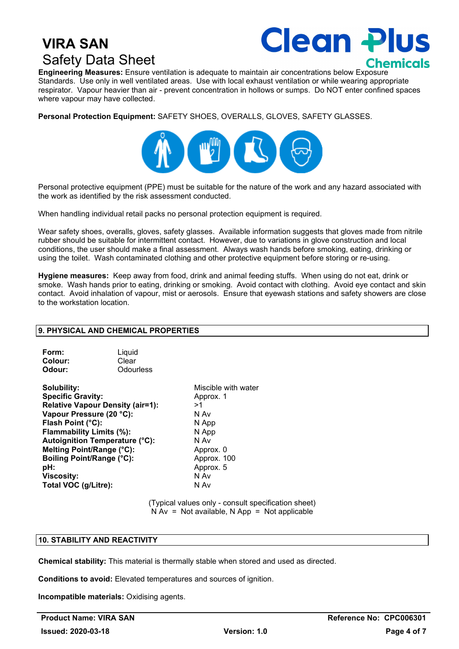

**Engineering Measures:** Ensure ventilation is adequate to maintain air concentrations below Exposure Standards. Use only in well ventilated areas. Use with local exhaust ventilation or while wearing appropriate respirator. Vapour heavier than air - prevent concentration in hollows or sumps. Do NOT enter confined spaces where vapour may have collected.

**Personal Protection Equipment:** SAFETY SHOES, OVERALLS, GLOVES, SAFETY GLASSES.



Personal protective equipment (PPE) must be suitable for the nature of the work and any hazard associated with the work as identified by the risk assessment conducted.

When handling individual retail packs no personal protection equipment is required.

Wear safety shoes, overalls, gloves, safety glasses. Available information suggests that gloves made from nitrile rubber should be suitable for intermittent contact. However, due to variations in glove construction and local conditions, the user should make a final assessment. Always wash hands before smoking, eating, drinking or using the toilet. Wash contaminated clothing and other protective equipment before storing or re-using.

**Hygiene measures:** Keep away from food, drink and animal feeding stuffs. When using do not eat, drink or smoke. Wash hands prior to eating, drinking or smoking. Avoid contact with clothing. Avoid eye contact and skin contact. Avoid inhalation of vapour, mist or aerosols. Ensure that eyewash stations and safety showers are close to the workstation location.

#### **9. PHYSICAL AND CHEMICAL PROPERTIES**

| Form:   | Liquid    |
|---------|-----------|
| Colour: | Clear     |
| Odour:  | Odourless |

**Solubility:** Miscible with water **Specific Gravity:** Approx. 1 **Relative Vapour Density (air=1):** >1 **Vapour Pressure (20 °C):** N Av **Flash Point (°C):** N App **Flammability Limits (%):** N App **Autoignition Temperature (°C):** N Av **Melting Point/Range (°C):** Approx. 0<br> **Boiling Point/Range (°C):** Approx. 100 **Boiling Point/Range (°C):**<br>pH: **Viscosity:** N Av **Total VOC (g/Litre):** 

Approx. 5

(Typical values only - consult specification sheet)  $N Av = Not available, N App = Not applicable$ 

## **10. STABILITY AND REACTIVITY**

**Chemical stability:** This material is thermally stable when stored and used as directed.

**Conditions to avoid:** Elevated temperatures and sources of ignition.

**Incompatible materials:** Oxidising agents.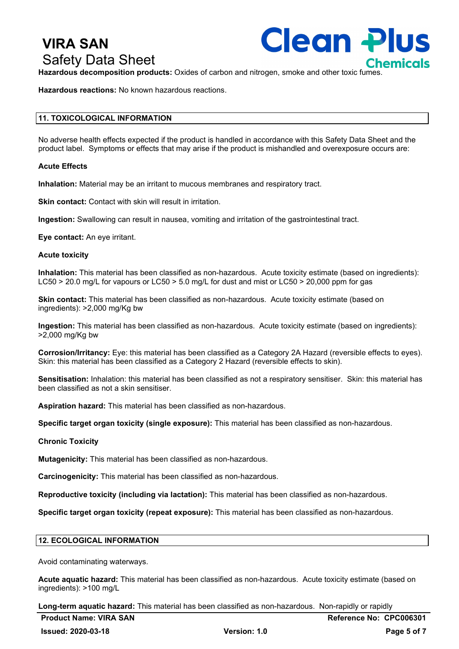**Clean Plus** 

**Hazardous decomposition products:** Oxides of carbon and nitrogen, smoke and other toxic fumes.

**Hazardous reactions:** No known hazardous reactions.

### **11. TOXICOLOGICAL INFORMATION**

No adverse health effects expected if the product is handled in accordance with this Safety Data Sheet and the product label. Symptoms or effects that may arise if the product is mishandled and overexposure occurs are:

#### **Acute Effects**

**Inhalation:** Material may be an irritant to mucous membranes and respiratory tract.

**Skin contact:** Contact with skin will result in irritation.

**Ingestion:** Swallowing can result in nausea, vomiting and irritation of the gastrointestinal tract.

**Eye contact:** An eye irritant.

#### **Acute toxicity**

**Inhalation:** This material has been classified as non-hazardous. Acute toxicity estimate (based on ingredients): LC50 > 20.0 mg/L for vapours or LC50 > 5.0 mg/L for dust and mist or LC50 > 20,000 ppm for gas

**Skin contact:** This material has been classified as non-hazardous. Acute toxicity estimate (based on ingredients): >2,000 mg/Kg bw

**Ingestion:** This material has been classified as non-hazardous. Acute toxicity estimate (based on ingredients): >2,000 mg/Kg bw

**Corrosion/Irritancy:** Eye: this material has been classified as a Category 2A Hazard (reversible effects to eyes). Skin: this material has been classified as a Category 2 Hazard (reversible effects to skin).

**Sensitisation:** Inhalation: this material has been classified as not a respiratory sensitiser. Skin: this material has been classified as not a skin sensitiser.

**Aspiration hazard:** This material has been classified as non-hazardous.

**Specific target organ toxicity (single exposure):** This material has been classified as non-hazardous.

#### **Chronic Toxicity**

**Mutagenicity:** This material has been classified as non-hazardous.

**Carcinogenicity:** This material has been classified as non-hazardous.

**Reproductive toxicity (including via lactation):** This material has been classified as non-hazardous.

**Specific target organ toxicity (repeat exposure):** This material has been classified as non-hazardous.

#### **12. ECOLOGICAL INFORMATION**

Avoid contaminating waterways.

**Acute aquatic hazard:** This material has been classified as non-hazardous. Acute toxicity estimate (based on ingredients): >100 mg/L

**Long-term aquatic hazard:** This material has been classified as non-hazardous. Non-rapidly or rapidly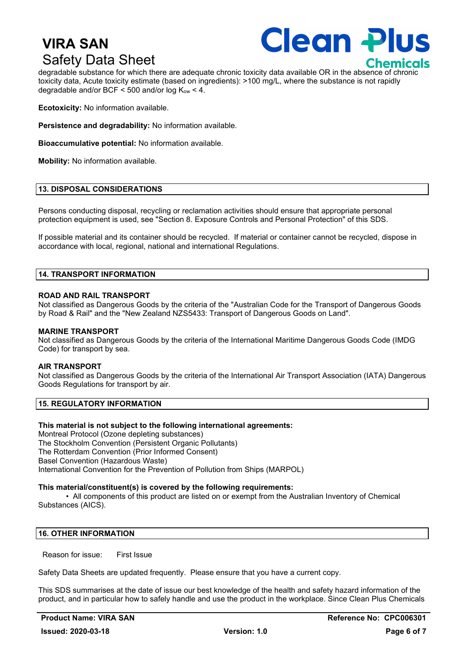

degradable substance for which there are adequate chronic toxicity data available OR in the absence of chronic toxicity data, Acute toxicity estimate (based on ingredients): >100 mg/L, where the substance is not rapidly degradable and/or BCF  $\leq$  500 and/or log K<sub>ow</sub>  $\lt$  4.

**Ecotoxicity:** No information available.

**Persistence and degradability:** No information available.

**Bioaccumulative potential:** No information available.

**Mobility:** No information available.

# **13. DISPOSAL CONSIDERATIONS**

Persons conducting disposal, recycling or reclamation activities should ensure that appropriate personal protection equipment is used, see "Section 8. Exposure Controls and Personal Protection" of this SDS.

If possible material and its container should be recycled. If material or container cannot be recycled, dispose in accordance with local, regional, national and international Regulations.

#### **14. TRANSPORT INFORMATION**

#### **ROAD AND RAIL TRANSPORT**

Not classified as Dangerous Goods by the criteria of the "Australian Code for the Transport of Dangerous Goods by Road & Rail" and the "New Zealand NZS5433: Transport of Dangerous Goods on Land".

#### **MARINE TRANSPORT**

Not classified as Dangerous Goods by the criteria of the International Maritime Dangerous Goods Code (IMDG Code) for transport by sea.

#### **AIR TRANSPORT**

Not classified as Dangerous Goods by the criteria of the International Air Transport Association (IATA) Dangerous Goods Regulations for transport by air.

#### **15. REGULATORY INFORMATION**

#### **This material is not subject to the following international agreements:**

Montreal Protocol (Ozone depleting substances) The Stockholm Convention (Persistent Organic Pollutants) The Rotterdam Convention (Prior Informed Consent) Basel Convention (Hazardous Waste) International Convention for the Prevention of Pollution from Ships (MARPOL)

#### **This material/constituent(s) is covered by the following requirements:**

• All components of this product are listed on or exempt from the Australian Inventory of Chemical Substances (AICS).

## **16. OTHER INFORMATION**

Reason for issue: First Issue

Safety Data Sheets are updated frequently. Please ensure that you have a current copy.

This SDS summarises at the date of issue our best knowledge of the health and safety hazard information of the product, and in particular how to safely handle and use the product in the workplace. Since Clean Plus Chemicals